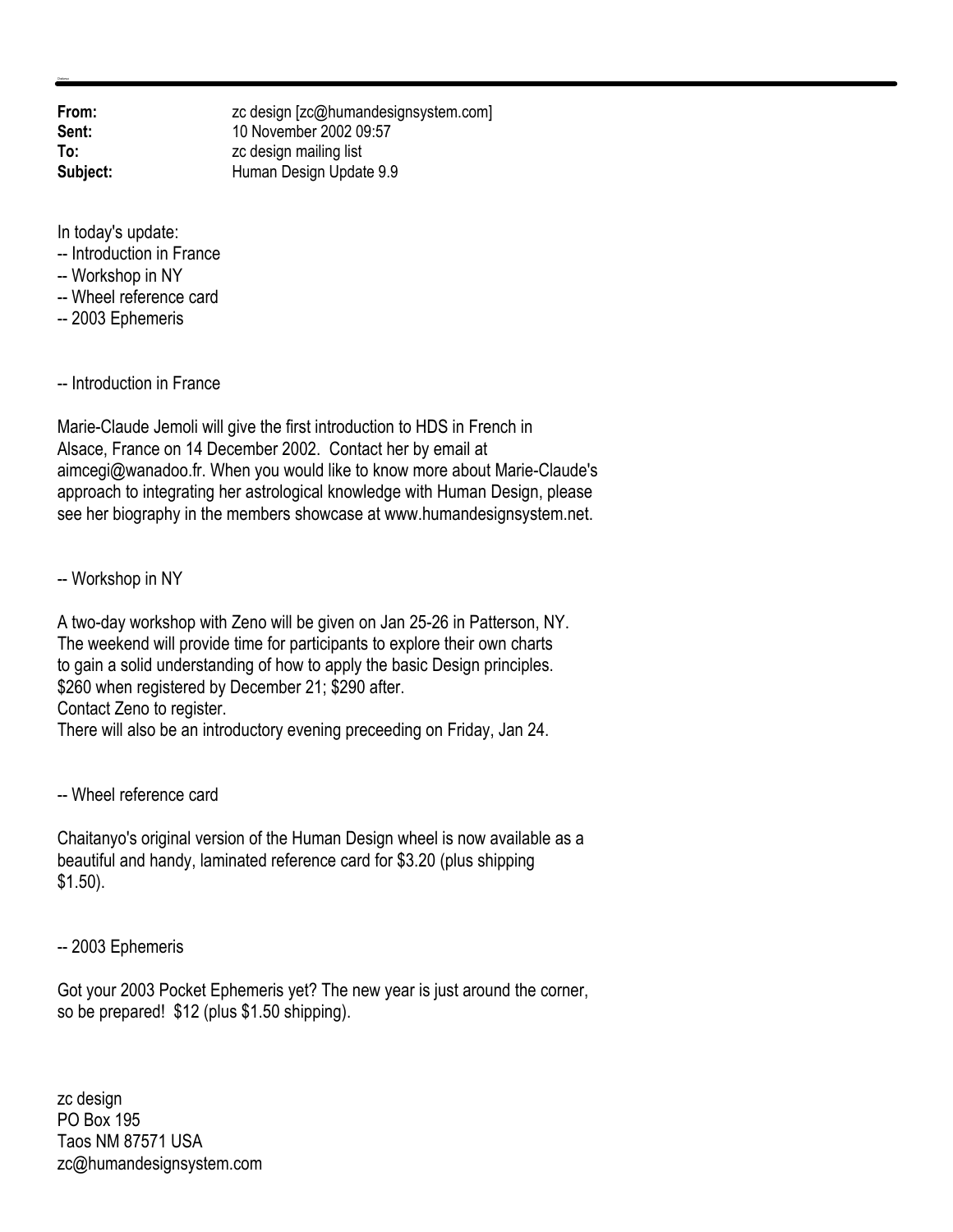**From:** zc design [zc@humandesignsystem.com] **Sent:** 10 November 2002 09:57 **To:** zc design mailing list **Subject:** Human Design Update 9.9

In today's update:

- -- Introduction in France
- -- Workshop in NY
- -- Wheel reference card
- -- 2003 Ephemeris

-- Introduction in France

Marie-Claude Jemoli will give the first introduction to HDS in French in Alsace, France on 14 December 2002. Contact her by email at aimcegi@wanadoo.fr. When you would like to know more about Marie-Claude's approach to integrating her astrological knowledge with Human Design, please see her biography in the members showcase at www.humandesignsystem.net.

-- Workshop in NY

A two-day workshop with Zeno will be given on Jan 25-26 in Patterson, NY. The weekend will provide time for participants to explore their own charts to gain a solid understanding of how to apply the basic Design principles. \$260 when registered by December 21; \$290 after. Contact Zeno to register. There will also be an introductory evening preceeding on Friday, Jan 24.

-- Wheel reference card

Chaitanyo's original version of the Human Design wheel is now available as a beautiful and handy, laminated reference card for \$3.20 (plus shipping \$1.50).

-- 2003 Ephemeris

Got your 2003 Pocket Ephemeris yet? The new year is just around the corner, so be prepared! \$12 (plus \$1.50 shipping).

zc design PO Box 195 Taos NM 87571 USA zc@humandesignsystem.com